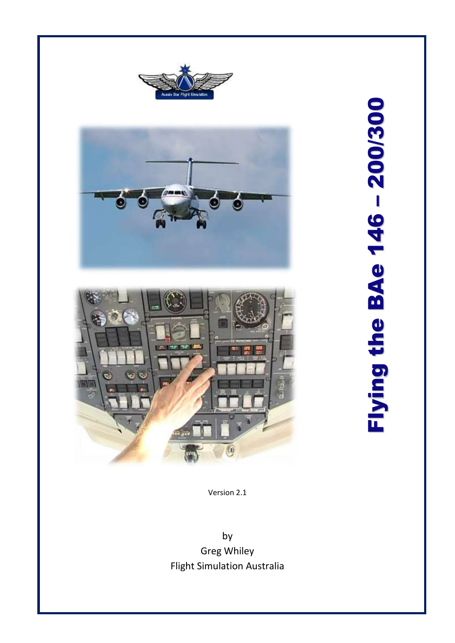





# **Flying the BAe 146 - 200/300** Flying the BAe 146 – 200/300

Version 2.1

by Greg Whiley Flight Simulation Australia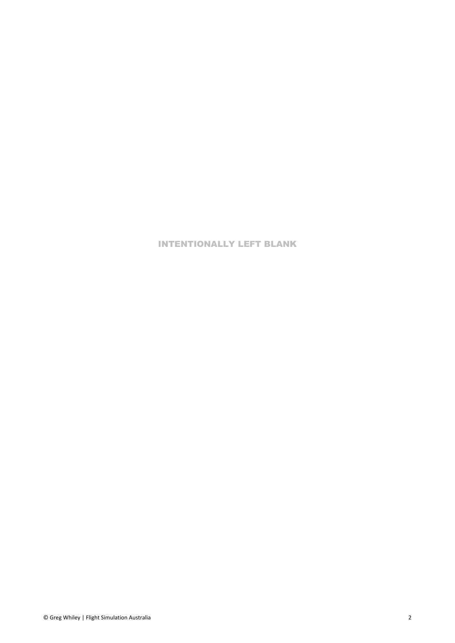# INTENTIONALLY LEFT BLANK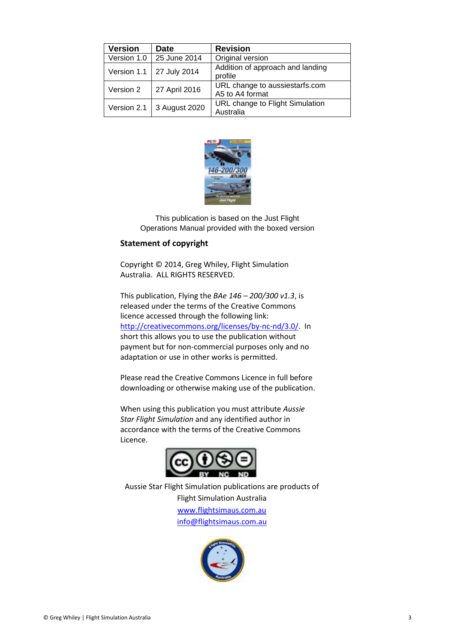| Version     | <b>Date</b>                | <b>Revision</b>                                   |
|-------------|----------------------------|---------------------------------------------------|
| Version 1.0 | 25 June 2014               | Original version                                  |
|             | Version 1.1   27 July 2014 | Addition of approach and landing<br>profile       |
| Version 2   | 27 April 2016              | URL change to aussiestarfs.com<br>A5 to A4 format |
| Version 2.1 | 3 August 2020              | URL change to Flight Simulation<br>Australia      |



This publication is based on the Just Flight Operations Manual provided with the boxed version

#### **Statement of copyright**

Copyright © 2014, Greg Whiley, Flight Simulation Australia. ALL RIGHTS RESERVED.

This publication, Flying the *BAe 146 – 200/300 v1.3*, is released under the terms of the Creative Commons licence accessed through the following link: [http://creativecommons.org/licenses/by-nc-nd/3.0/.](http://creativecommons.org/licenses/by-nc-nd/3.0/) In short this allows you to use the publication without payment but for non-commercial purposes only and no adaptation or use in other works is permitted.

Please read the Creative Commons Licence in full before downloading or otherwise making use of the publication.

When using this publication you must attribute *Aussie Star Flight Simulation* and any identified author in accordance with the terms of the Creative Commons Licence.



Aussie Star Flight Simulation publications are products of Flight Simulation Australia [www.flightsimaus.com.au](http://www.flightsimaus.com.au/) <info@flightsimaus.com.au>

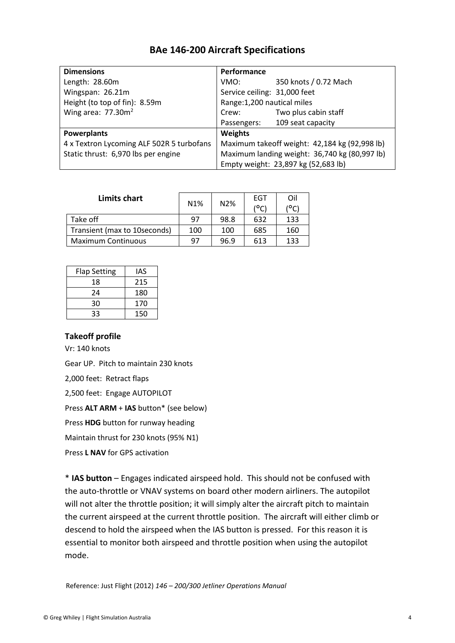| <b>Dimensions</b>                         | Performance                                   |                       |
|-------------------------------------------|-----------------------------------------------|-----------------------|
| Length: 28.60m                            | VMO:                                          | 350 knots / 0.72 Mach |
| Wingspan: 26.21m                          | Service ceiling: 31,000 feet                  |                       |
| Height (to top of fin): 8.59m             | Range: 1,200 nautical miles                   |                       |
| Wing area: $77.30m2$                      | Crew:                                         | Two plus cabin staff  |
|                                           | Passengers:                                   | 109 seat capacity     |
| <b>Powerplants</b>                        | <b>Weights</b>                                |                       |
| 4 x Textron Lycoming ALF 502R 5 turbofans | Maximum takeoff weight: 42,184 kg (92,998 lb) |                       |
| Static thrust: 6,970 lbs per engine       | Maximum landing weight: 36,740 kg (80,997 lb) |                       |
|                                           | Empty weight: 23,897 kg (52,683 lb)           |                       |

# **BAe 146-200 Aircraft Specifications**

| Limits chart                  | N <sub>1</sub> % | N <sub>2</sub> % | EGT<br>(°C) | Oil<br>$C^{\circ}$ |
|-------------------------------|------------------|------------------|-------------|--------------------|
| Take off                      | 97               | 98.8             | 632         | 133                |
| Transient (max to 10 seconds) | 100              | 100              | 685         | 160                |
| <b>Maximum Continuous</b>     | 97               | 96.9             | 613         | 133                |

| <b>Flap Setting</b> | IAS |
|---------------------|-----|
| 18                  | 215 |
| 24                  | 180 |
| 30                  | 170 |
| 33                  | 150 |

#### **Takeoff profile**

Vr: 140 knots

Gear UP. Pitch to maintain 230 knots

2,000 feet: Retract flaps

2,500 feet: Engage AUTOPILOT

Press **ALT ARM** + **IAS** button\* (see below)

Press **HDG** button for runway heading

Maintain thrust for 230 knots (95% N1)

Press **L NAV** for GPS activation

\* **IAS button** – Engages indicated airspeed hold. This should not be confused with the auto-throttle or VNAV systems on board other modern airliners. The autopilot will not alter the throttle position; it will simply alter the aircraft pitch to maintain the current airspeed at the current throttle position. The aircraft will either climb or descend to hold the airspeed when the IAS button is pressed. For this reason it is essential to monitor both airspeed and throttle position when using the autopilot mode.

Reference: Just Flight (2012) *146 – 200/300 Jetliner Operations Manual*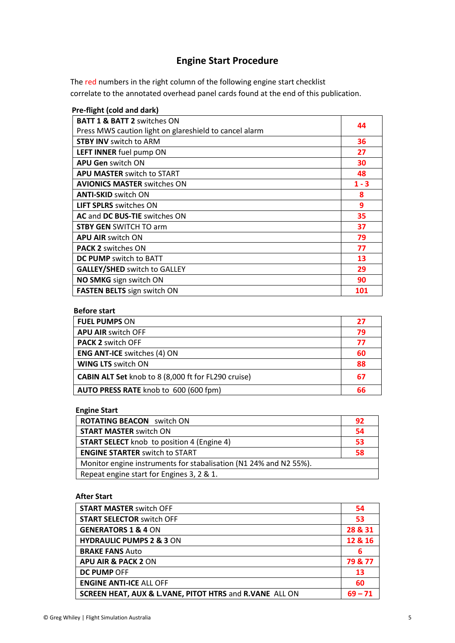# **Engine Start Procedure**

The red numbers in the right column of the following engine start checklist correlate to the annotated overhead panel cards found at the end of this publication.

| Pre-flight (cold and dark)                             |         |
|--------------------------------------------------------|---------|
| <b>BATT 1 &amp; BATT 2 switches ON</b>                 | 44      |
| Press MWS caution light on glareshield to cancel alarm |         |
| <b>STBY INV</b> switch to ARM                          | 36      |
| <b>LEFT INNER</b> fuel pump ON                         | 27      |
| <b>APU Gen switch ON</b>                               | 30      |
| <b>APU MASTER switch to START</b>                      | 48      |
| <b>AVIONICS MASTER switches ON</b>                     | $1 - 3$ |
| <b>ANTI-SKID switch ON</b>                             | 8       |
| <b>LIFT SPLRS</b> switches ON                          | 9       |
| AC and DC BUS-TIE switches ON                          | 35      |
| <b>STBY GEN SWITCH TO arm</b>                          | 37      |
| <b>APU AIR switch ON</b>                               | 79      |
| <b>PACK 2 switches ON</b>                              | 77      |
| DC PUMP switch to BATT                                 | 13      |
| <b>GALLEY/SHED switch to GALLEY</b>                    | 29      |
| NO SMKG sign switch ON                                 | 90      |
| FASTEN BELTS sign switch ON                            | 101     |
|                                                        |         |

#### **Before start**

| <b>FUEL PUMPS ON</b>                                       | 27 |
|------------------------------------------------------------|----|
| <b>APU AIR switch OFF</b>                                  | 79 |
| <b>PACK 2 switch OFF</b>                                   | 77 |
| <b>ENG ANT-ICE</b> switches (4) ON                         | 60 |
| <b>WING LTS switch ON</b>                                  | 88 |
| <b>CABIN ALT Set knob to 8 (8,000 ft for FL290 cruise)</b> | 67 |
| AUTO PRESS RATE knob to 600 (600 fpm)                      |    |

#### **Engine Start**

| <b>ROTATING BEACON</b> switch ON                                  | 92 |  |
|-------------------------------------------------------------------|----|--|
| <b>START MASTER switch ON</b>                                     |    |  |
| <b>START SELECT</b> knob to position 4 (Engine 4)                 | 53 |  |
| <b>ENGINE STARTER switch to START</b>                             |    |  |
| Monitor engine instruments for stabalisation (N1 24% and N2 55%). |    |  |
| Repeat engine start for Engines 3, 2 & 1.                         |    |  |

#### **After Start**

| 54        |
|-----------|
| 53        |
| 28 & 31   |
| 12 & 16   |
| 6         |
| 79 & 77   |
| 13        |
| 60        |
| $69 - 71$ |
|           |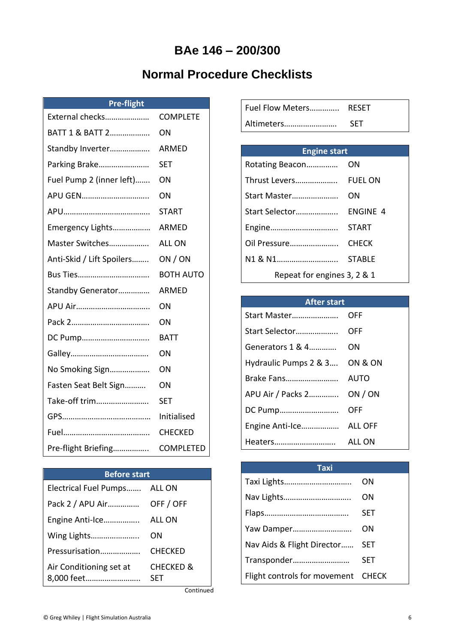# **BAe 146 – 200/300**

# **Normal Procedure Checklists**

| <b>Pre-flight</b>         |                  |
|---------------------------|------------------|
| External checks           | <b>COMPLETE</b>  |
| BATT 1 & BATT 2           | ON               |
| Standby Inverter          | <b>ARMED</b>     |
| Parking Brake             | SET              |
| Fuel Pump 2 (inner left)  | ΟN               |
| APU GEN                   | ΟN               |
|                           | START            |
| Emergency Lights          | ARMED            |
| Master Switches           | <b>ALL ON</b>    |
| Anti-Skid / Lift Spoilers | ON/ON            |
| Bus Ties                  | <b>BOTH AUTO</b> |
| Standby Generator         | <b>ARMED</b>     |
| APU Air                   | ΟN               |
|                           | ON               |
| DC Pump                   | BATT             |
|                           | ΟN               |
| No Smoking Sign           | ΟN               |
| Fasten Seat Belt Sign     | ON               |
| Take-off trim             | <b>SET</b>       |
|                           | Initialised      |
|                           | <b>CHECKED</b>   |
| Pre-flight Briefing       | <b>COMPLETED</b> |

## **Before start**

| Electrical Fuel Pumps                 | ALL ON                             |
|---------------------------------------|------------------------------------|
| Pack 2 / APU Air                      | OFF / OFF                          |
| Engine Anti-Ice                       | ALL ON                             |
| Wing Lights                           | OΝ                                 |
| Pressurisation                        | <b>CHECKED</b>                     |
| Air Conditioning set at<br>8,000 feet | <b>CHECKED &amp;</b><br><b>SFT</b> |

**Continued** 

| Fuel Flow Meters RESET |            |
|------------------------|------------|
| Altimeters             | <b>SFT</b> |

| <b>Engine start</b>         |                 |  |
|-----------------------------|-----------------|--|
| Rotating Beacon             | ΟN              |  |
| Thrust Levers               | FUEL ON         |  |
| Start Master                | ΟN              |  |
| Start Selector              | <b>ENGINE 4</b> |  |
| Engine                      | START           |  |
| Oil Pressure                | <b>CHECK</b>    |  |
| N1 & N1                     | <b>STABLE</b>   |  |
| Repeat for engines 3, 2 & 1 |                 |  |

| <b>After start</b>    |         |  |  |
|-----------------------|---------|--|--|
| Start Master          | OFF     |  |  |
| Start Selector        | OFF     |  |  |
| Generators 1 & 4      | OΝ      |  |  |
| Hydraulic Pumps 2 & 3 | ON & ON |  |  |
| Brake Fans            | AUTO    |  |  |
| APU Air / Packs 2     | ON / ON |  |  |
| DC Pump               | OFF     |  |  |
|                       |         |  |  |
| Heaters               | ALL ON  |  |  |

| Taxi                         |              |  |  |
|------------------------------|--------------|--|--|
| Taxi Lights                  | ΟN           |  |  |
| Nav Lights                   | ΟN           |  |  |
|                              | SET          |  |  |
| Yaw Damper                   | OΝ           |  |  |
| Nav Aids & Flight Director   | <b>SET</b>   |  |  |
| Transponder                  | SET          |  |  |
| Flight controls for movement | <b>CHECK</b> |  |  |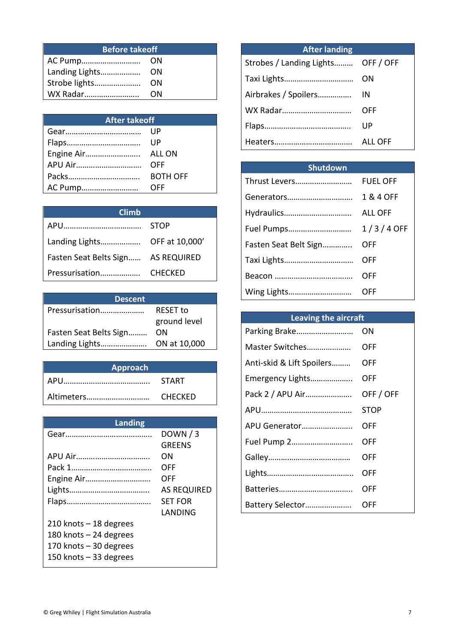| <b>Before takeoff</b> |     |  |  |
|-----------------------|-----|--|--|
| AC Pump               | -ON |  |  |
| Landing Lights ON     |     |  |  |
|                       |     |  |  |
| WX Radar              | ON  |  |  |

| <b>After takeoff</b> |                 |  |  |
|----------------------|-----------------|--|--|
|                      | UP              |  |  |
|                      | UP.             |  |  |
| Engine Air           | ALL ON          |  |  |
|                      | OFF             |  |  |
|                      | <b>BOTH OFF</b> |  |  |
| AC Pump              | OFF             |  |  |

| <b>Climb</b>                       |                |
|------------------------------------|----------------|
|                                    | <b>STOP</b>    |
| Landing Lights OFF at 10,000'      |                |
| Fasten Seat Belts Sign AS REQUIRED |                |
| Pressurisation                     | <b>CHECKED</b> |

| <b>Descent</b>         |                 |
|------------------------|-----------------|
| Pressurisation         | <b>RESET to</b> |
|                        | ground level    |
| Fasten Seat Belts Sign | ON              |
| Landing Lights         | ON at 10,000    |
|                        |                 |

| Approach   |                |
|------------|----------------|
|            | <b>START</b>   |
| Altimeters | <b>CHECKED</b> |

| <b>Landing</b>            |                    |  |  |  |
|---------------------------|--------------------|--|--|--|
|                           | DOWN / 3           |  |  |  |
|                           | <b>GREENS</b>      |  |  |  |
|                           | OΝ                 |  |  |  |
|                           | OFF                |  |  |  |
| Engine Air                | OFF                |  |  |  |
|                           | <b>AS REQUIRED</b> |  |  |  |
|                           | <b>SET FOR</b>     |  |  |  |
|                           | LANDING            |  |  |  |
| $210$ knots $-18$ degrees |                    |  |  |  |
| 180 knots $-$ 24 degrees  |                    |  |  |  |
| 170 knots $-30$ degrees   |                    |  |  |  |
| 150 knots $-$ 33 degrees  |                    |  |  |  |

## **After landing**

| Strobes / Landing Lights OFF / OFF |         |
|------------------------------------|---------|
| Taxi Lights                        | OΝ      |
|                                    |         |
|                                    | OFF     |
|                                    | UP      |
|                                    | ALL OFF |

| <b>Shutdown</b>       |                 |  |  |  |
|-----------------------|-----------------|--|--|--|
| Thrust Levers         | <b>FUEL OFF</b> |  |  |  |
| Generators            | 1 & 4 OFF       |  |  |  |
| Hydraulics            | <b>ALL OFF</b>  |  |  |  |
| Fuel Pumps            | $1/3/4$ OFF     |  |  |  |
| Fasten Seat Belt Sign | OFF             |  |  |  |
| Taxi Lights           | OFF             |  |  |  |
|                       | OFF             |  |  |  |
| Wing Lights           | <b>OFF</b>      |  |  |  |

| <b>Leaving the aircraft</b> |             |  |  |
|-----------------------------|-------------|--|--|
| Parking Brake               | ΟN          |  |  |
| Master Switches             | OFF         |  |  |
| Anti-skid & Lift Spoilers   | OFF         |  |  |
| Emergency Lights            | OFF         |  |  |
| Pack 2 / APU Air            | OFF / OFF   |  |  |
|                             | <b>STOP</b> |  |  |
| APU Generator               | OFF         |  |  |
| Fuel Pump 2                 | OFF         |  |  |
|                             | OFF         |  |  |
|                             | OFF         |  |  |
|                             | OFF         |  |  |
| Battery Selector            | OFF         |  |  |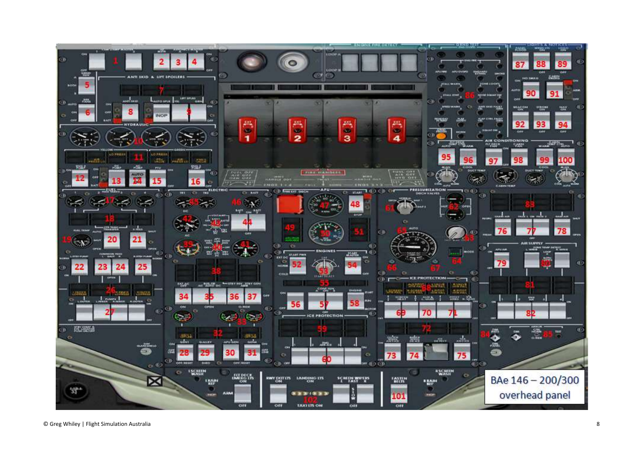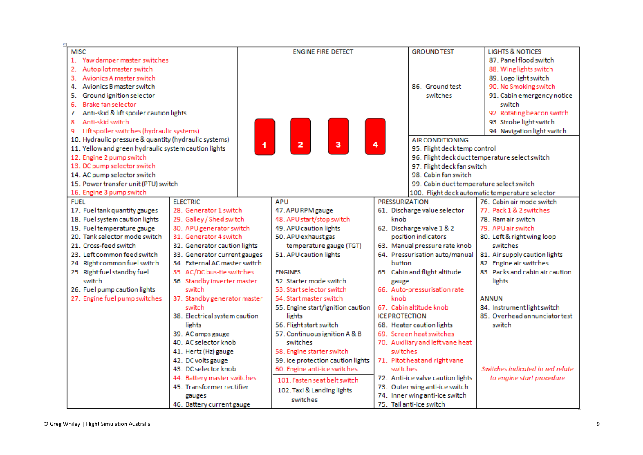| <b>MISC</b>                                           |                                            | <b>ENGINE FIRE DETECT</b>         |                                | <b>GROUND TEST</b>                       | <b>LIGHTS &amp; NOTICES</b>                     |
|-------------------------------------------------------|--------------------------------------------|-----------------------------------|--------------------------------|------------------------------------------|-------------------------------------------------|
| 1. Yaw damper master switches                         |                                            |                                   |                                |                                          | 87. Panel flood switch                          |
| 2. Autopilot master switch                            |                                            |                                   |                                |                                          | 88. Wing lights switch                          |
| Avionics A master switch<br>3.                        |                                            |                                   |                                |                                          | 89. Logo light switch                           |
| Avionics B master switch<br>4.                        |                                            |                                   |                                | 86. Ground test                          | 90. No Smoking switch                           |
| Ground ignition selector<br>5.                        |                                            |                                   |                                | switches                                 | 91. Cabin emergency notice                      |
| <b>Brake fan selector</b><br>6.                       |                                            |                                   |                                |                                          | switch                                          |
| 7. Anti-skid & lift spoiler caution lights            |                                            |                                   |                                |                                          | 92. Rotating beacon switch                      |
| Anti-skid switch<br>8.                                |                                            |                                   |                                |                                          | 93. Strobe light switch                         |
| 9. Lift spoiler switches (hydraulic systems)          |                                            |                                   |                                |                                          | 94. Navigation light switch                     |
| 10. Hydraulic pressure & quantity (hydraulic systems) |                                            |                                   |                                | <b>AIR CONDITIONING</b>                  |                                                 |
| 11. Yellow and green hydraulic system caution lights  | $\blacksquare$                             | $\overline{\mathbf{2}}$<br>3      | 4                              | 95. Flight deck temp control             |                                                 |
| 12. Engine 2 pump switch                              |                                            |                                   |                                |                                          | 96. Flight deck duct temperature select switch  |
| 13. DC pump selector switch                           |                                            |                                   |                                | 97. Flight deck fan switch               |                                                 |
| 14. AC pump selector switch                           |                                            |                                   |                                | 98. Cabin fan switch                     |                                                 |
| 15. Power transfer unit (PTU) switch                  |                                            |                                   |                                | 99. Cabin duct temperature select switch |                                                 |
| 16. Engine 3 pump switch                              |                                            |                                   |                                |                                          | 100. Flight deck automatic temperature selector |
| <b>FUEL</b>                                           | <b>ELECTRIC</b>                            | <b>APU</b>                        | <b>PRESSURIZATION</b>          |                                          | 76. Cabin air mode switch                       |
| 17. Fuel tank quantity gauges                         | 28. Generator 1 switch                     | 47. APU RPM gauge                 |                                | 61. Discharge value selector             | 77. Pack 1 & 2 switches                         |
| 18. Fuel system caution lights                        | 29. Galley / Shed switch                   | 48. APU start/stop switch         | knob                           |                                          | 78. Ram air switch                              |
| 19. Fuel temperature gauge                            | 30. APU generator switch                   | 49. APU caution lights            |                                | 62. Discharge valve 1 & 2                | 79. APU air switch                              |
| 20. Tank selector mode switch                         | 31. Generator 4 switch                     | 50. APU exhaust gas               | position indicators            |                                          | 80. Left & right wing loop                      |
| 21. Cross-feed switch                                 | 32. Generator caution lights               | temperature gauge (TGT)           | 63. Manual pressure rate knob  |                                          | switches                                        |
| 23. Left common feed switch                           | 33. Generator current gauges               | 51. APU caution lights            | 64. Pressurisation auto/manual |                                          | 81. Air supply caution lights                   |
| 24. Right common fuel switch                          | 34. External AC master switch              |                                   | button                         |                                          | 82. Engine air switches                         |
| 25. Right fuel standby fuel                           | 35. AC/DC bus-tie switches                 | <b>ENGINES</b>                    |                                | 65. Cabin and flight altitude            | 83. Packs and cabin air caution                 |
| switch                                                | 36. Standby inverter master                | 52. Starter mode switch           | gauge                          |                                          | lights                                          |
| 26. Fuel pump caution lights                          | switch                                     | 53. Start selector switch         |                                | 66. Auto-pressurisation rate             |                                                 |
| 27. Engine fuel pump switches                         | 37. Standby generator master               | 54. Start master switch           | knob                           |                                          | <b>ANNUN</b>                                    |
|                                                       | switch                                     | 55. Engine start/ignition caution |                                | 67. Cabin altitude knob                  | 84. Instrument light switch                     |
|                                                       | 38. Electrical system caution              | lights                            | <b>ICE PROTECTION</b>          |                                          | 85. Overhead annunciator test                   |
|                                                       | lights                                     | 56. Flight start switch           |                                | 68. Heater caution lights                | switch                                          |
|                                                       | 39. AC amps gauge                          | 57. Continuous ignition A & B     |                                | 69. Screen heat switches                 |                                                 |
|                                                       | 40. AC selector knob                       | switches                          |                                | 70. Auxiliary and left vane heat         |                                                 |
|                                                       | 41. Hertz (Hz) gauge                       | 58. Engine starter switch         | switches                       |                                          |                                                 |
|                                                       | 42. DC volts gauge<br>43. DC selector knob | 59. Ice protection caution lights | switches                       | 71. Pitot heat and right vane            | Switches indicated in red relate                |
|                                                       | 44. Battery master switches                | 60. Engine anti-ice switches      |                                | 72. Anti-ice valve caution lights        |                                                 |
|                                                       | 45. Transformer rectifier                  | 101. Fasten seat belt switch      |                                | 73. Outer wing anti-ice switch           | to engine start procedure                       |
|                                                       |                                            | 102. Taxi & Landing lights        |                                | 74. Inner wing anti-ice switch           |                                                 |
|                                                       | gauges                                     | switches                          |                                | 75. Tail anti-ice switch                 |                                                 |
|                                                       | 46. Battery current gauge                  |                                   |                                |                                          |                                                 |